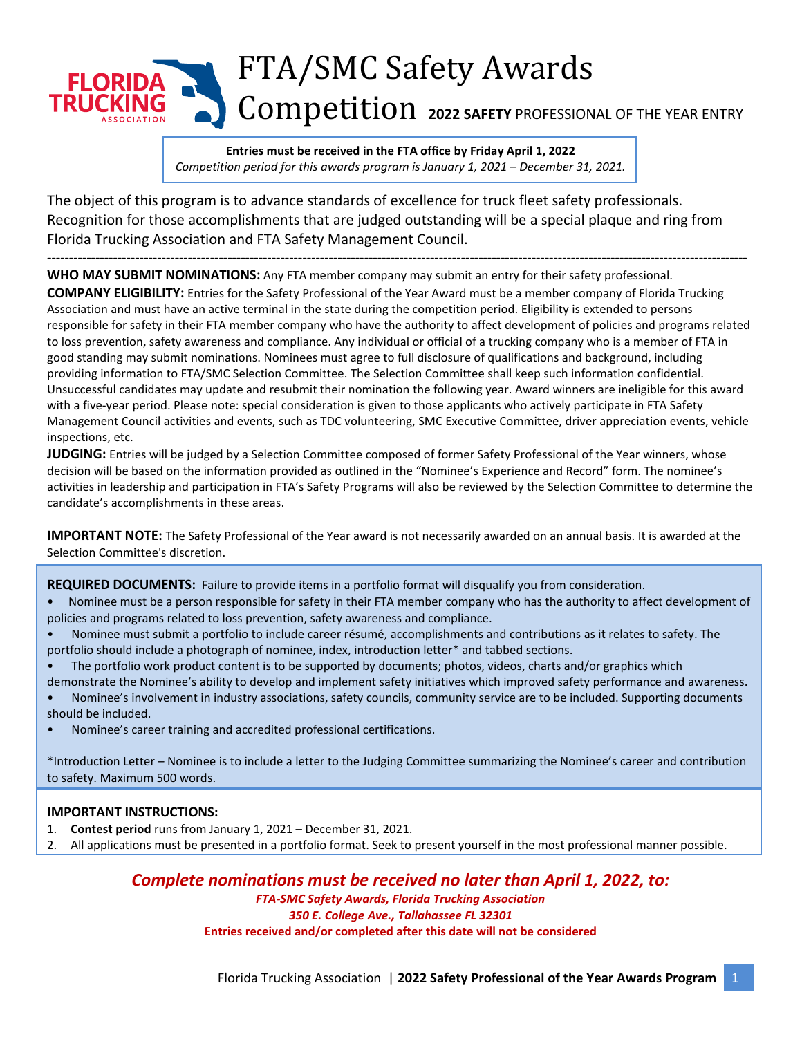## FTA/SMC Safety Awards FI ORID Competition **<sup>2022</sup> SAFETY** PROFESSIONAL OF THE YEAR ENTRY

**Entries must be received in the FTA office by Friday April 1, 2022** *Competition period for this awards program is January 1, 2021 – December 31, 2021.*

The object of this program is to advance standards of excellence for truck fleet safety professionals. Recognition for those accomplishments that are judged outstanding will be a special plaque and ring from Florida Trucking Association and FTA Safety Management Council.

**--------------------------------------------------------------------------------------------------------------------------------------------------------------- WHO MAY SUBMIT NOMINATIONS:** Any FTA member company may submit an entry for their safety professional.

**COMPANY ELIGIBILITY:** Entries for the Safety Professional of the Year Award must be a member company of Florida Trucking Association and must have an active terminal in the state during the competition period. Eligibility is extended to persons responsible for safety in their FTA member company who have the authority to affect development of policies and programs related to loss prevention, safety awareness and compliance. Any individual or official of a trucking company who is a member of FTA in good standing may submit nominations. Nominees must agree to full disclosure of qualifications and background, including providing information to FTA/SMC Selection Committee. The Selection Committee shall keep such information confidential. Unsuccessful candidates may update and resubmit their nomination the following year. Award winners are ineligible for this award with a five-year period. Please note: special consideration is given to those applicants who actively participate in FTA Safety Management Council activities and events, such as TDC volunteering, SMC Executive Committee, driver appreciation events, vehicle inspections, etc.

JUDGING: Entries will be judged by a Selection Committee composed of former Safety Professional of the Year winners, whose decision will be based on the information provided as outlined in the "Nominee's Experience and Record" form. The nominee's activities in leadership and participation in FTA's Safety Programs will also be reviewed by the Selection Committee to determine the candidate's accomplishments in these areas.

**IMPORTANT NOTE:** The Safety Professional of the Year award is not necessarily awarded on an annual basis. It is awarded at the Selection Committee's discretion.

**REQUIRED DOCUMENTS:** Failure to provide items in a portfolio format will disqualify you from consideration.

- Nominee must be a person responsible for safety in their FTA member company who has the authority to affect development of policies and programs related to loss prevention, safety awareness and compliance.
- Nominee must submit a portfolio to include career résumé, accomplishments and contributions as it relates to safety. The portfolio should include a photograph of nominee, index, introduction letter\* and tabbed sections.
- The portfolio work product content is to be supported by documents; photos, videos, charts and/or graphics which
- demonstrate the Nominee's ability to develop and implement safety initiatives which improved safety performance and awareness. • Nominee's involvement in industry associations, safety councils, community service are to be included. Supporting documents
- should be included.
- Nominee's career training and accredited professional certifications.

\*Introduction Letter – Nominee is to include a letter to the Judging Committee summarizing the Nominee's career and contribution to safety. Maximum 500 words.

## **IMPORTANT INSTRUCTIONS:**

- 1. **Contest period** runs from January 1, 2021 December 31, 2021.
- 2. All applications must be presented in a portfolio format. Seek to present yourself in the most professional manner possible.

## *Complete nominations must be received no later than April 1, 2022, to:*

*FTA-SMC Safety Awards, Florida Trucking Association 350 E. College Ave., Tallahassee FL 32301*  **Entries received and/or completed after this date will not be considered**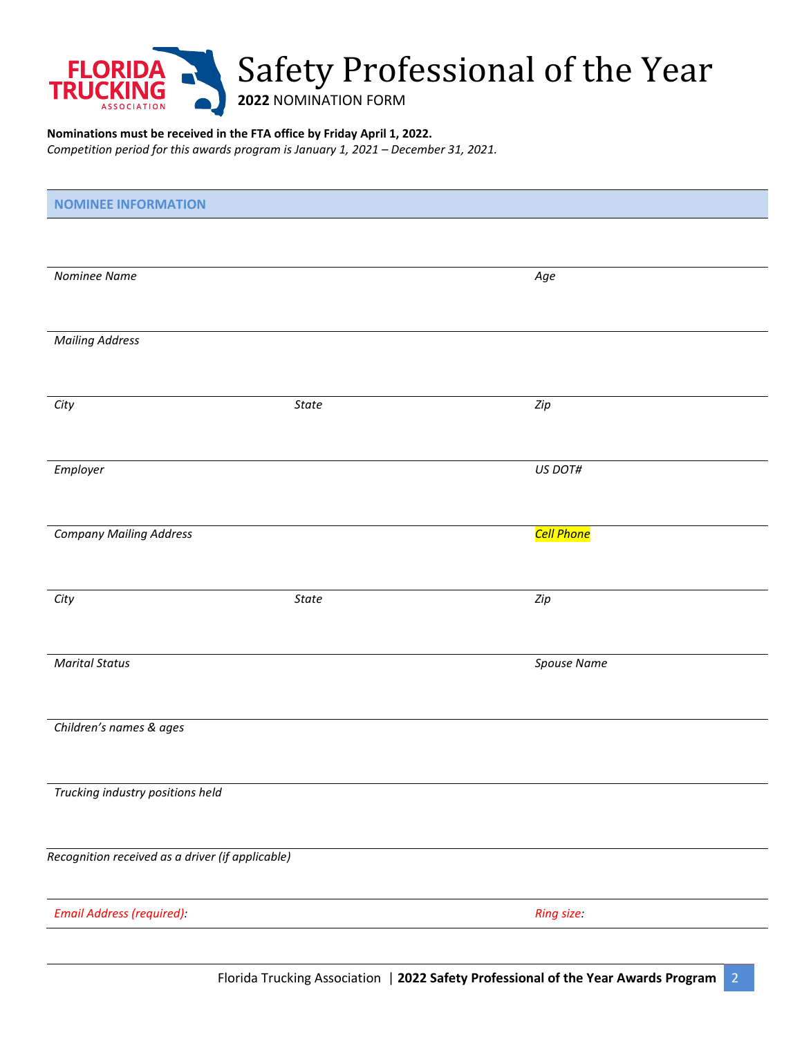

## **Nominations must be received in the FTA office by Friday April 1, 2022.**

*Competition period for this awards program is January 1, 2021 – December 31, 2021.*

| <b>NOMINEE INFORMATION</b>                       |              |                         |  |
|--------------------------------------------------|--------------|-------------------------|--|
|                                                  |              |                         |  |
|                                                  |              |                         |  |
| Nominee Name                                     |              | Age                     |  |
|                                                  |              |                         |  |
| <b>Mailing Address</b>                           |              |                         |  |
|                                                  |              |                         |  |
|                                                  |              |                         |  |
| City                                             | State        | Zip                     |  |
|                                                  |              |                         |  |
| Employer                                         |              | US DOT#                 |  |
|                                                  |              |                         |  |
|                                                  |              |                         |  |
| <b>Company Mailing Address</b>                   |              | <mark>Cell Phone</mark> |  |
|                                                  |              |                         |  |
| City                                             | <b>State</b> | $\mathit{Zip}$          |  |
|                                                  |              |                         |  |
|                                                  |              |                         |  |
| <b>Marital Status</b>                            |              | Spouse Name             |  |
|                                                  |              |                         |  |
| Children's names & ages                          |              |                         |  |
|                                                  |              |                         |  |
|                                                  |              |                         |  |
| Trucking industry positions held                 |              |                         |  |
|                                                  |              |                         |  |
| Recognition received as a driver (if applicable) |              |                         |  |
|                                                  |              |                         |  |
| Email Address (required):                        |              | Ring size:              |  |
|                                                  |              |                         |  |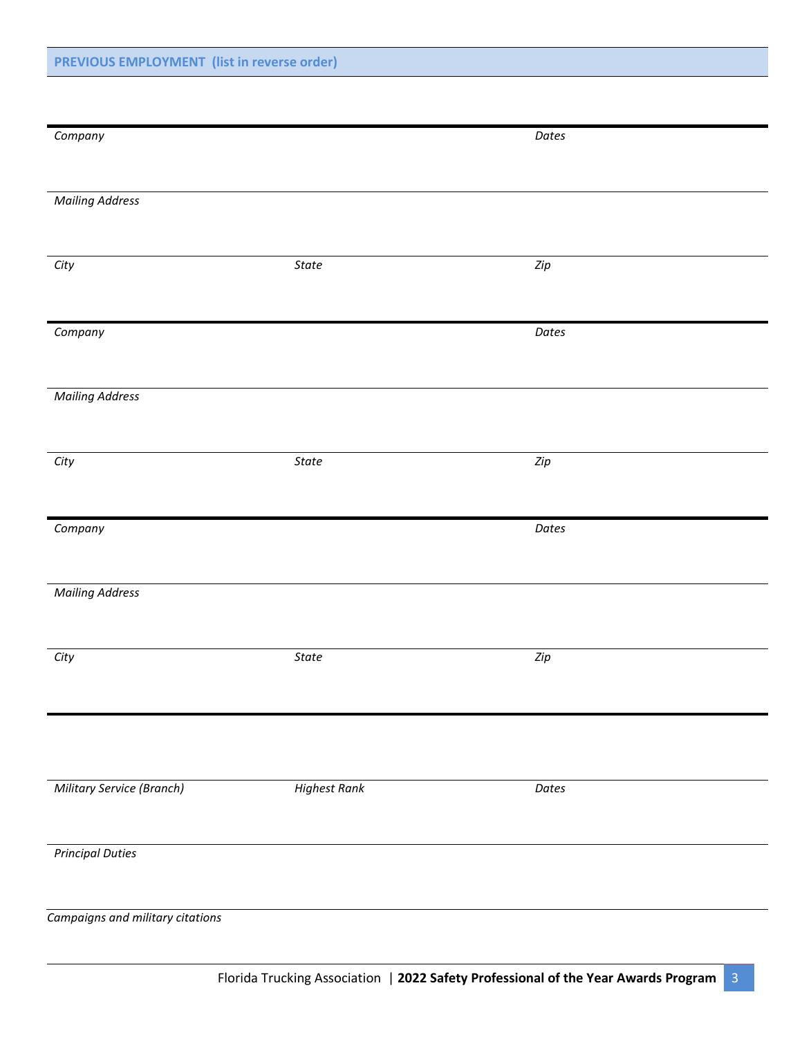| Company                          |                     | Dates          |  |
|----------------------------------|---------------------|----------------|--|
|                                  |                     |                |  |
| <b>Mailing Address</b>           |                     |                |  |
|                                  |                     |                |  |
| City                             | State               | $\mathit{Zip}$ |  |
|                                  |                     |                |  |
| Company                          |                     | Dates          |  |
|                                  |                     |                |  |
| <b>Mailing Address</b>           |                     |                |  |
|                                  |                     |                |  |
|                                  |                     |                |  |
| City                             | State               | Zip            |  |
|                                  |                     |                |  |
| Company                          |                     | Dates          |  |
|                                  |                     |                |  |
| <b>Mailing Address</b>           |                     |                |  |
|                                  |                     |                |  |
| City                             | State               | Zip            |  |
|                                  |                     |                |  |
|                                  |                     |                |  |
|                                  |                     |                |  |
| Military Service (Branch)        | <b>Highest Rank</b> | Dates          |  |
|                                  |                     |                |  |
|                                  |                     |                |  |
| <b>Principal Duties</b>          |                     |                |  |
|                                  |                     |                |  |
| Campaigns and military citations |                     |                |  |